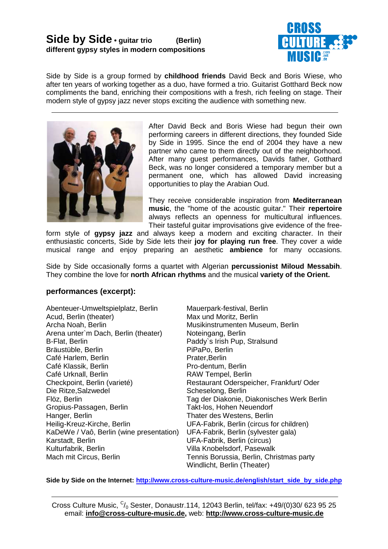# **Side by Side • guitar trio (Berlin) different gypsy styles in modern compositions**



Side by Side is a group formed by **childhood friends** David Beck and Boris Wiese, who after ten years of working together as a duo, have formed a trio. Guitarist Gotthard Beck now compliments the band, enriching their compositions with a fresh, rich feeling on stage. Their modern style of gypsy jazz never stops exciting the audience with something new.



After David Beck and Boris Wiese had begun their own performing careers in different directions, they founded Side by Side in 1995. Since the end of 2004 they have a new partner who came to them directly out of the neighborhood. After many guest performances, Davids father, Gotthard Beck, was no longer considered a temporary member but a permanent one, which has allowed David increasing opportunities to play the Arabian Oud.

They receive considerable inspiration from **Mediterranean music**, the "home of the acoustic guitar." Their **repertoire** always reflects an openness for multicultural influences. Their tasteful guitar improvisations give evidence of the free-

form style of **gypsy jazz** and always keep a modern and exciting character. In their enthusiastic concerts, Side by Side lets their **joy for playing run free**. They cover a wide musical range and enjoy preparing an aesthetic **ambience** for many occasions.

Side by Side occasionally forms a quartet with Algerian **percussionist Miloud Messabih**. They combine the love for **north African rhythms** and the musical **variety of the Orient.**

## **performances (excerpt):**

Abenteuer-Umweltspielplatz, Berlin Acud, Berlin (theater) Archa Noah, Berlin Arena unter`m Dach, Berlin (theater) B-Flat, Berlin Bräustüble, Berlin Café Harlem, Berlin Café Klassik, Berlin Café Urknall, Berlin Checkpoint, Berlin (varieté) Die Ritze,Salzwedel Flöz, Berlin Gropius-Passagen, Berlin Hanger, Berlin Heilig-Kreuz-Kirche, Berlin KaDeWe / Vaô, Berlin (wine presentation) Karstadt, Berlin Kulturfabrik, Berlin Mach mit Circus, Berlin

Mauerpark-festival, Berlin Max und Moritz, Berlin Musikinstrumenten Museum, Berlin Noteingang, Berlin Paddy`s Irish Pup, Stralsund PiPaPo, Berlin Prater,Berlin Pro-dentum, Berlin RAW Tempel, Berlin Restaurant Oderspeicher, Frankfurt/ Oder Scheselong, Berlin Tag der Diakonie, Diakonisches Werk Berlin Takt-los, Hohen Neuendorf Thater des Westens, Berlin UFA-Fabrik, Berlin (circus for children) UFA-Fabrik, Berlin (sylvester gala) UFA-Fabrik, Berlin (circus) Villa Knobelsdorf, Pasewalk Tennis Borussia, Berlin, Christmas party Windlicht, Berlin (Theater)

Side by Side on the Internet: http://www.cross-culture-music.de/english/start\_side\_by\_side.php

Cross Culture Music,  $C/0$  Sester, Donaustr.114, 12043 Berlin, tel/fax: +49/(0)30/ 623 95 25 email: **info@cross-culture-music.de,** web: **http://www.cross-culture-music.de**